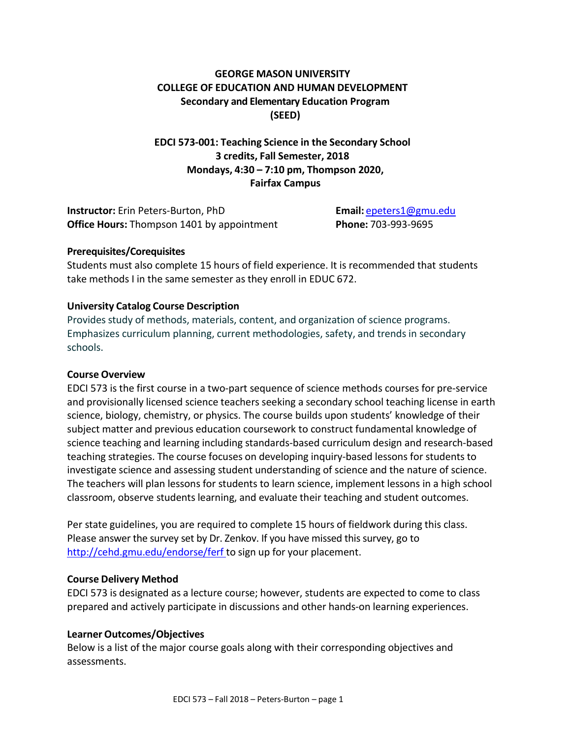# **GEORGE MASON UNIVERSITY COLLEGE OF EDUCATION AND HUMAN DEVELOPMENT Secondary and Elementary Education Program (SEED)**

**EDCI 573-001: Teaching Science in the Secondary School 3 credits, Fall Semester, 2018 Mondays, 4:30 – 7:10 pm, Thompson 2020, Fairfax Campus**

**Instructor:** Erin Peters-Burton, PhD **Email:** [epeters1@gmu.edu](mailto:epeters1@gmu.edu) **Office Hours:** Thompson 1401 by appointment **Phone:** 703-993-9695

### **Prerequisites/Corequisites**

Students must also complete 15 hours of field experience. It is recommended that students take methods I in the same semester as they enroll in EDUC 672.

### **University Catalog Course Description**

Provides study of methods, materials, content, and organization of science programs. Emphasizes curriculum planning, current methodologies, safety, and trends in secondary schools.

### **Course Overview**

EDCI 573 is the first course in a two-part sequence of science methods courses for pre-service and provisionally licensed science teachers seeking a secondary school teaching license in earth science, biology, chemistry, or physics. The course builds upon students' knowledge of their subject matter and previous education coursework to construct fundamental knowledge of science teaching and learning including standards-based curriculum design and research-based teaching strategies. The course focuses on developing inquiry-based lessons for students to investigate science and assessing student understanding of science and the nature of science. The teachers will plan lessons for students to learn science, implement lessons in a high school classroom, observe students learning, and evaluate their teaching and student outcomes.

Per state guidelines, you are required to complete 15 hours of fieldwork during this class. Please answer the survey set by Dr. Zenkov. If you have missed this survey, go to <http://cehd.gmu.edu/endorse/ferf> to sign up for your placement.

### **Course Delivery Method**

EDCI 573 is designated as a lecture course; however, students are expected to come to class prepared and actively participate in discussions and other hands-on learning experiences.

### **Learner Outcomes/Objectives**

Below is a list of the major course goals along with their corresponding objectives and assessments.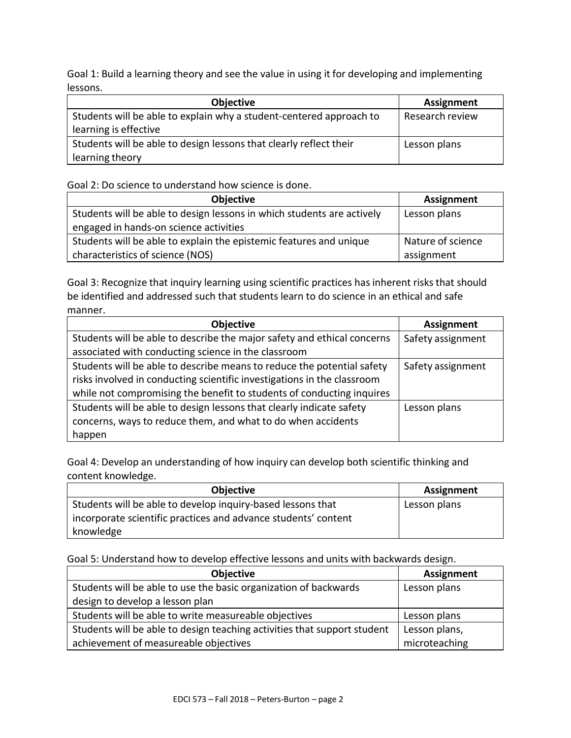Goal 1: Build a learning theory and see the value in using it for developing and implementing lessons.

| <b>Objective</b>                                                    | <b>Assignment</b> |
|---------------------------------------------------------------------|-------------------|
| Students will be able to explain why a student-centered approach to | Research review   |
| learning is effective                                               |                   |
| Students will be able to design lessons that clearly reflect their  | Lesson plans      |
| learning theory                                                     |                   |

Goal 2: Do science to understand how science is done.

| <b>Objective</b>                                                       | <b>Assignment</b> |
|------------------------------------------------------------------------|-------------------|
| Students will be able to design lessons in which students are actively | Lesson plans      |
| engaged in hands-on science activities                                 |                   |
| Students will be able to explain the epistemic features and unique     | Nature of science |
| characteristics of science (NOS)                                       | assignment        |

Goal 3: Recognize that inquiry learning using scientific practices has inherent risks that should be identified and addressed such that students learn to do science in an ethical and safe manner.

| Objective                                                               | <b>Assignment</b> |
|-------------------------------------------------------------------------|-------------------|
| Students will be able to describe the major safety and ethical concerns | Safety assignment |
| associated with conducting science in the classroom                     |                   |
| Students will be able to describe means to reduce the potential safety  | Safety assignment |
| risks involved in conducting scientific investigations in the classroom |                   |
| while not compromising the benefit to students of conducting inquires   |                   |
| Students will be able to design lessons that clearly indicate safety    | Lesson plans      |
| concerns, ways to reduce them, and what to do when accidents            |                   |
| happen                                                                  |                   |

Goal 4: Develop an understanding of how inquiry can develop both scientific thinking and content knowledge.

| <b>Objective</b>                                               | Assignment   |
|----------------------------------------------------------------|--------------|
| Students will be able to develop inquiry-based lessons that    | Lesson plans |
| incorporate scientific practices and advance students' content |              |
| knowledge                                                      |              |

Goal 5: Understand how to develop effective lessons and units with backwards design.

| Objective                                                                | <b>Assignment</b> |
|--------------------------------------------------------------------------|-------------------|
| Students will be able to use the basic organization of backwards         | Lesson plans      |
| design to develop a lesson plan                                          |                   |
| Students will be able to write measureable objectives                    | Lesson plans      |
| Students will be able to design teaching activities that support student | Lesson plans,     |
| achievement of measureable objectives                                    | microteaching     |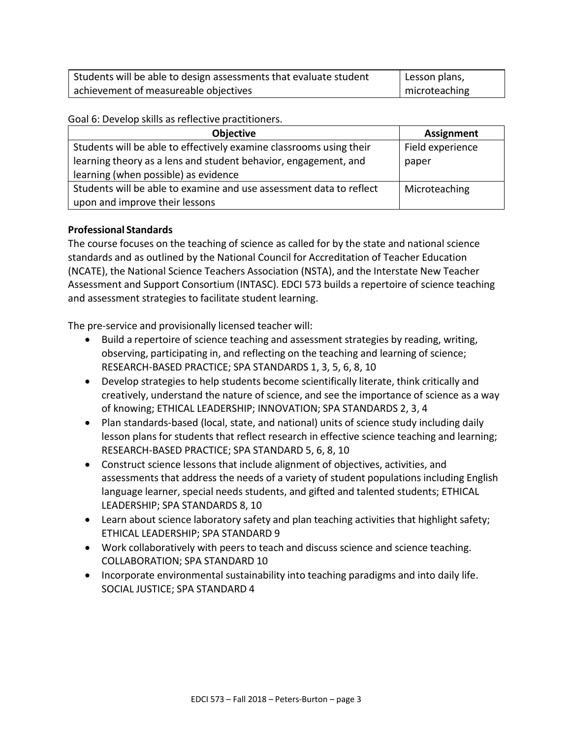| Students will be able to design assessments that evaluate student | Lesson plans, |
|-------------------------------------------------------------------|---------------|
| achievement of measureable objectives                             | microteaching |

Goal 6: Develop skills as reflective practitioners.

| <b>Objective</b>                                                    | <b>Assignment</b> |
|---------------------------------------------------------------------|-------------------|
| Students will be able to effectively examine classrooms using their | Field experience  |
| learning theory as a lens and student behavior, engagement, and     | paper             |
| learning (when possible) as evidence                                |                   |
| Students will be able to examine and use assessment data to reflect | Microteaching     |
| upon and improve their lessons                                      |                   |

### **Professional Standards**

The course focuses on the teaching of science as called for by the state and national science standards and as outlined by the National Council for Accreditation of Teacher Education (NCATE), the National Science Teachers Association (NSTA), and the Interstate New Teacher Assessment and Support Consortium (INTASC). EDCI 573 builds a repertoire of science teaching and assessment strategies to facilitate student learning.

The pre-service and provisionally licensed teacher will:

- Build a repertoire of science teaching and assessment strategies by reading, writing, observing, participating in, and reflecting on the teaching and learning of science; RESEARCH-BASED PRACTICE; SPA STANDARDS 1, 3, 5, 6, 8, 10
- Develop strategies to help students become scientifically literate, think critically and creatively, understand the nature of science, and see the importance of science as a way of knowing; ETHICAL LEADERSHIP; INNOVATION; SPA STANDARDS 2, 3, 4
- Plan standards-based (local, state, and national) units of science study including daily lesson plans for students that reflect research in effective science teaching and learning; RESEARCH-BASED PRACTICE; SPA STANDARD 5, 6, 8, 10
- Construct science lessons that include alignment of objectives, activities, and assessments that address the needs of a variety of student populations including English language learner, special needs students, and gifted and talented students; ETHICAL LEADERSHIP; SPA STANDARDS 8, 10
- Learn about science laboratory safety and plan teaching activities that highlight safety; ETHICAL LEADERSHIP; SPA STANDARD 9
- Work collaboratively with peers to teach and discuss science and science teaching. COLLABORATION; SPA STANDARD 10
- Incorporate environmental sustainability into teaching paradigms and into daily life. SOCIAL JUSTICE; SPA STANDARD 4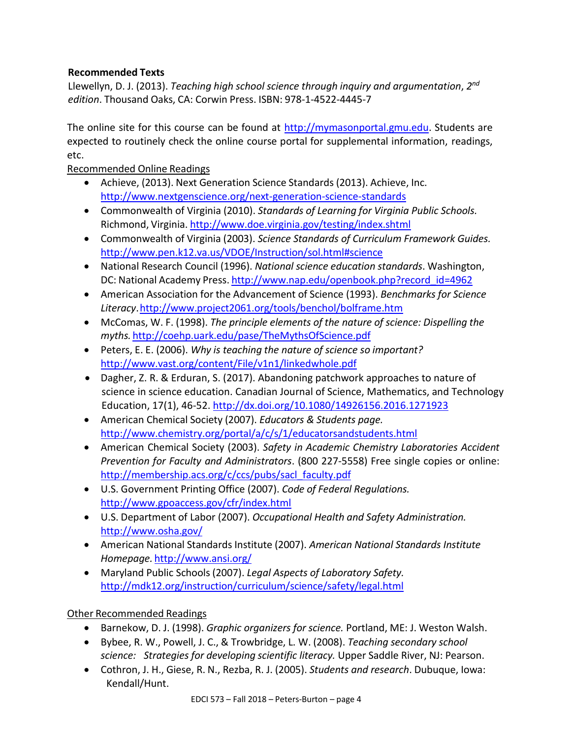# **Recommended Texts**

Llewellyn, D. J. (2013). *Teaching high school science through inquiry and argumentation*, *2 nd edition*. Thousand Oaks, CA: Corwin Press. ISBN: 978-1-4522-4445-7

The online site for this course can be found at [http://mymasonportal.gmu.edu.](http://mymasonportal.gmu.edu/) Students are expected to routinely check the online course portal for supplemental information, readings, etc.

Recommended Online Readings

- Achieve, (2013). Next Generation Science Standards (2013). Achieve, Inc. <http://www.nextgenscience.org/next-generation-science-standards>
- Commonwealth of Virginia (2010). *Standards of Learning for Virginia Public Schools.* Richmond, Virginia. <http://www.doe.virginia.gov/testing/index.shtml>
- Commonwealth of Virginia (2003). *Science Standards of Curriculum Framework Guides.* <http://www.pen.k12.va.us/VDOE/Instruction/sol.html#science>
- National Research Council (1996). *National science education standards*. Washington, DC: National Academy Press. [http://www.nap.edu/openbook.php?record\\_id=4962](http://www.nap.edu/openbook.php?record_id=4962)
- American Association for the Advancement of Science (1993). *Benchmarks for Science Literacy*[.http://www.project2061.org/tools/benchol/bolframe.htm](http://www.project2061.org/tools/benchol/bolframe.htm)
- McComas, W. F. (1998). *The principle elements of the nature of science: Dispelling the myths.* <http://coehp.uark.edu/pase/TheMythsOfScience.pdf>
- Peters, E. E. (2006). *Why is teaching the nature of science so important?* <http://www.vast.org/content/File/v1n1/linkedwhole.pdf>
- Dagher, Z. R. & Erduran, S. (2017). Abandoning patchwork approaches to nature of science in science education. Canadian Journal of Science, Mathematics, and Technology Education, 17(1), 46-52.<http://dx.doi.org/10.1080/14926156.2016.1271923>
- American Chemical Society (2007). *Educators & Students page.* <http://www.chemistry.org/portal/a/c/s/1/educatorsandstudents.html>
- American Chemical Society (2003). *Safety in Academic Chemistry Laboratories Accident Prevention for Faculty and Administrators*. (800 227-5558) Free single copies or online: [http://membership.acs.org/c/ccs/pubs/sacl\\_faculty.pdf](http://membership.acs.org/c/ccs/pubs/sacl_faculty.pdf)
- U.S. Government Printing Office (2007). *Code of Federal Regulations.* <http://www.gpoaccess.gov/cfr/index.html>
- U.S. Department of Labor (2007). *Occupational Health and Safety Administration.* <http://www.osha.gov/>
- American National Standards Institute (2007). *American National Standards Institute Homepage.* <http://www.ansi.org/>
- Maryland Public Schools(2007). *Legal Aspects of Laboratory Safety.* <http://mdk12.org/instruction/curriculum/science/safety/legal.html>

# Other Recommended Readings

- Barnekow, D. J. (1998). *Graphic organizers for science.* Portland, ME: J. Weston Walsh.
- Bybee, R. W., Powell, J. C., & Trowbridge, L. W. (2008). *Teaching secondary school science: Strategies for developing scientific literacy.* Upper Saddle River, NJ: Pearson.
- Cothron, J. H., Giese, R. N., Rezba, R. J. (2005). *Students and research*. Dubuque, Iowa: Kendall/Hunt.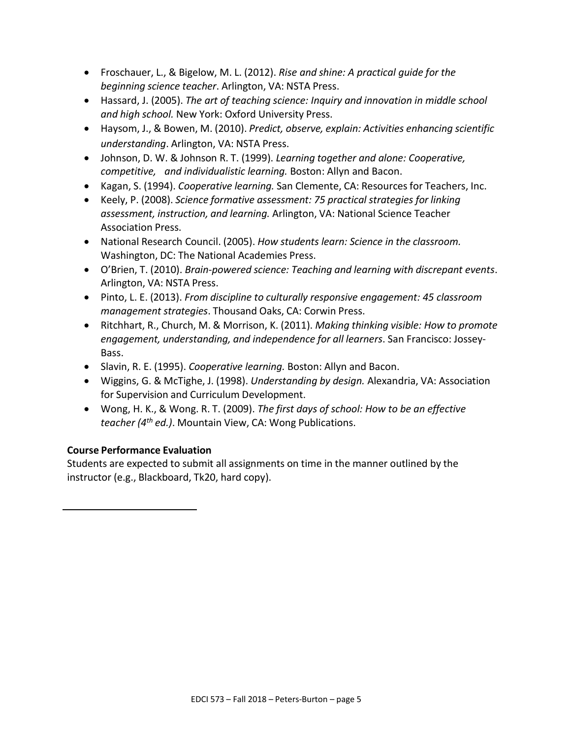- Froschauer, L., & Bigelow, M. L. (2012). *Rise and shine: A practical guide for the beginning science teacher*. Arlington, VA: NSTA Press.
- Hassard, J. (2005). *The art of teaching science: Inquiry and innovation in middle school and high school.* New York: Oxford University Press.
- Haysom, J., & Bowen, M. (2010). *Predict, observe, explain: Activities enhancing scientific understanding*. Arlington, VA: NSTA Press.
- Johnson, D. W. & Johnson R. T. (1999). *Learning together and alone: Cooperative, competitive, and individualistic learning.* Boston: Allyn and Bacon.
- Kagan, S. (1994). *Cooperative learning.* San Clemente, CA: Resourcesfor Teachers, Inc.
- Keely, P. (2008). *Science formative assessment: 75 practical strategies for linking assessment, instruction, and learning.* Arlington, VA: National Science Teacher Association Press.
- National Research Council. (2005). *How students learn: Science in the classroom.* Washington, DC: The National Academies Press.
- O'Brien, T. (2010). *Brain-powered science: Teaching and learning with discrepant events*. Arlington, VA: NSTA Press.
- Pinto, L. E. (2013). *From discipline to culturally responsive engagement: 45 classroom management strategies*. Thousand Oaks, CA: Corwin Press.
- Ritchhart, R., Church, M. & Morrison, K. (2011). *Making thinking visible: How to promote engagement, understanding, and independence for all learners*. San Francisco: Jossey-Bass.
- Slavin, R. E. (1995). *Cooperative learning.* Boston: Allyn and Bacon.
- Wiggins, G. & McTighe, J. (1998). *Understanding by design.* Alexandria, VA: Association for Supervision and Curriculum Development.
- Wong, H. K., & Wong. R. T. (2009). *The first days of school: How to be an effective teacher (4th ed.)*. Mountain View, CA: Wong Publications.

# **Course Performance Evaluation**

Students are expected to submit all assignments on time in the manner outlined by the instructor (e.g., Blackboard, Tk20, hard copy).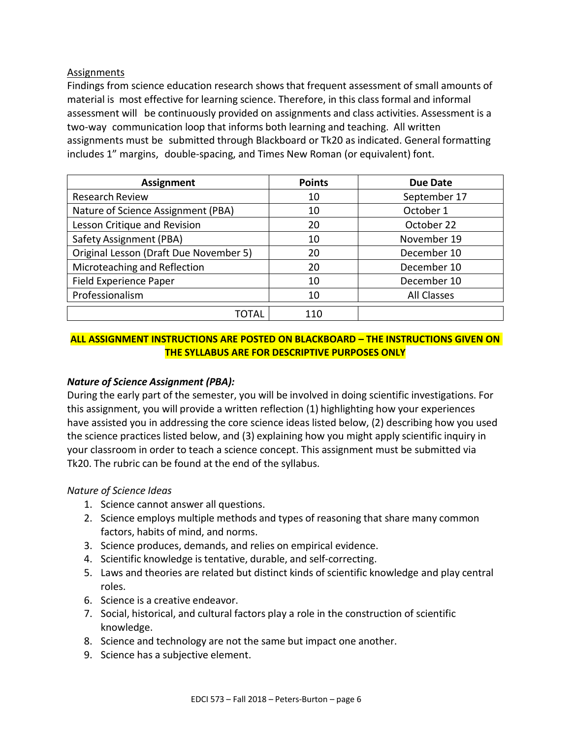### Assignments

Findings from science education research shows that frequent assessment of small amounts of material is most effective for learning science. Therefore, in this classformal and informal assessment will be continuously provided on assignments and class activities. Assessment is a two-way communication loop that informs both learning and teaching. All written assignments must be submitted through Blackboard or Tk20 as indicated. General formatting includes 1" margins, double-spacing, and Times New Roman (or equivalent) font.

| <b>Assignment</b>                      | <b>Points</b> | <b>Due Date</b> |
|----------------------------------------|---------------|-----------------|
| <b>Research Review</b>                 | 10            | September 17    |
| Nature of Science Assignment (PBA)     | 10            | October 1       |
| Lesson Critique and Revision           | 20            | October 22      |
| Safety Assignment (PBA)                | 10            | November 19     |
| Original Lesson (Draft Due November 5) | 20            | December 10     |
| Microteaching and Reflection           | 20            | December 10     |
| Field Experience Paper                 | 10            | December 10     |
| Professionalism                        | 10            | All Classes     |
| TOTAL                                  | 110           |                 |

# **ALL ASSIGNMENT INSTRUCTIONS ARE POSTED ON BLACKBOARD – THE INSTRUCTIONS GIVEN ON THE SYLLABUS ARE FOR DESCRIPTIVE PURPOSES ONLY**

# *Nature of Science Assignment (PBA):*

During the early part of the semester, you will be involved in doing scientific investigations. For this assignment, you will provide a written reflection (1) highlighting how your experiences have assisted you in addressing the core science ideas listed below, (2) describing how you used the science practices listed below, and (3) explaining how you might apply scientific inquiry in your classroom in order to teach a science concept. This assignment must be submitted via Tk20. The rubric can be found at the end of the syllabus.

### *Nature of Science Ideas*

- 1. Science cannot answer all questions.
- 2. Science employs multiple methods and types of reasoning that share many common factors, habits of mind, and norms.
- 3. Science produces, demands, and relies on empirical evidence.
- 4. Scientific knowledge is tentative, durable, and self-correcting.
- 5. Laws and theories are related but distinct kinds of scientific knowledge and play central roles.
- 6. Science is a creative endeavor.
- 7. Social, historical, and cultural factors play a role in the construction of scientific knowledge.
- 8. Science and technology are not the same but impact one another.
- 9. Science has a subjective element.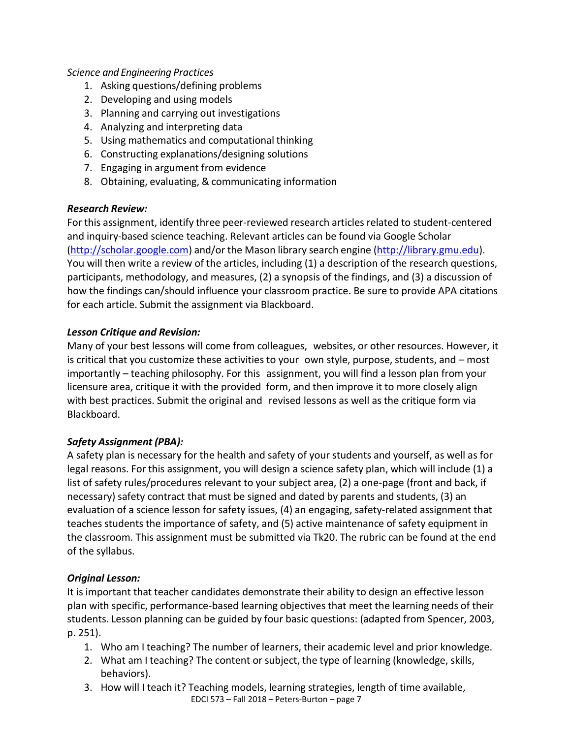## *Science and Engineering Practices*

- 1. Asking questions/defining problems
- 2. Developing and using models
- 3. Planning and carrying out investigations
- 4. Analyzing and interpreting data
- 5. Using mathematics and computational thinking
- 6. Constructing explanations/designing solutions
- 7. Engaging in argument from evidence
- 8. Obtaining, evaluating, & communicating information

### *Research Review:*

For this assignment, identify three peer-reviewed research articles related to student-centered and inquiry-based science teaching. Relevant articles can be found via Google Scholar [\(http://scholar.google.com\)](http://scholar.google.com/) and/or the Mason library search engine [\(http://library.gmu.edu\)](http://library.gmu.edu/). You will then write a review of the articles, including (1) a description of the research questions, participants, methodology, and measures, (2) a synopsis of the findings, and (3) a discussion of how the findings can/should influence your classroom practice. Be sure to provide APA citations for each article. Submit the assignment via Blackboard.

### *Lesson Critique and Revision:*

Many of your best lessons will come from colleagues, websites, or other resources. However, it is critical that you customize these activities to your own style, purpose, students, and – most importantly – teaching philosophy. For this assignment, you will find a lesson plan from your licensure area, critique it with the provided form, and then improve it to more closely align with best practices. Submit the original and revised lessons as well as the critique form via Blackboard.

### *Safety Assignment (PBA):*

A safety plan is necessary for the health and safety of your students and yourself, as well as for legal reasons. For this assignment, you will design a science safety plan, which will include (1) a list of safety rules/procedures relevant to your subject area, (2) a one-page (front and back, if necessary) safety contract that must be signed and dated by parents and students, (3) an evaluation of a science lesson for safety issues, (4) an engaging, safety-related assignment that teaches students the importance of safety, and (5) active maintenance of safety equipment in the classroom. This assignment must be submitted via Tk20. The rubric can be found at the end of the syllabus.

### *Original Lesson:*

It is important that teacher candidates demonstrate their ability to design an effective lesson plan with specific, performance-based learning objectivesthat meet the learning needs of their students. Lesson planning can be guided by four basic questions: (adapted from Spencer, 2003, p. 251).

- 1. Who am I teaching? The number of learners, their academic level and prior knowledge.
- 2. What am I teaching? The content or subject, the type of learning (knowledge, skills, behaviors).
- 3. How will I teach it? Teaching models, learning strategies, length of time available,
	- EDCI 573 Fall 2018 Peters-Burton page 7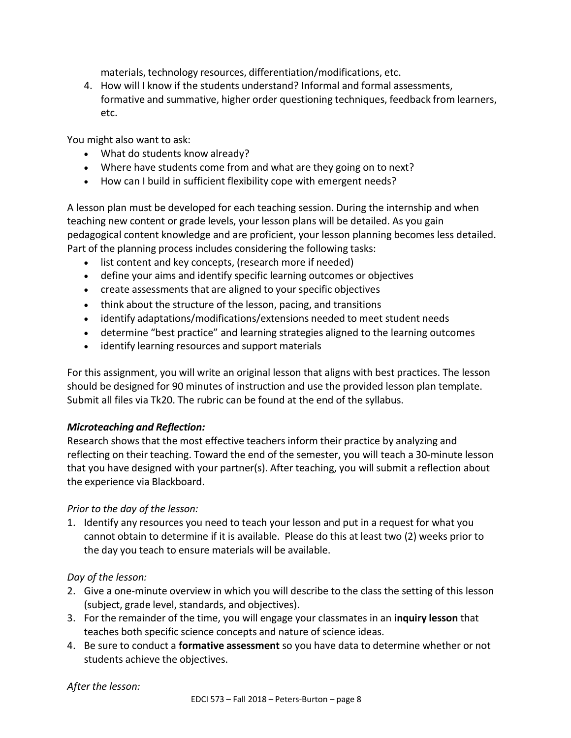materials, technology resources, differentiation/modifications, etc.

4. How will I know if the students understand? Informal and formal assessments, formative and summative, higher order questioning techniques, feedback from learners, etc.

You might also want to ask:

- What do students know already?
- Where have students come from and what are they going on to next?
- How can I build in sufficient flexibility cope with emergent needs?

A lesson plan must be developed for each teaching session. During the internship and when teaching new content or grade levels, your lesson plans will be detailed. As you gain pedagogical content knowledge and are proficient, your lesson planning becomes less detailed. Part of the planning process includes considering the following tasks:

- list content and key concepts, (research more if needed)
- define your aims and identify specific learning outcomes or objectives
- create assessments that are aligned to your specific objectives
- think about the structure of the lesson, pacing, and transitions
- identify adaptations/modifications/extensions needed to meet student needs
- determine "best practice" and learning strategies aligned to the learning outcomes
- identify learning resources and support materials

For this assignment, you will write an original lesson that aligns with best practices. The lesson should be designed for 90 minutes of instruction and use the provided lesson plan template. Submit all files via Tk20. The rubric can be found at the end of the syllabus.

# *Microteaching and Reflection:*

Research showsthat the most effective teachers inform their practice by analyzing and reflecting on their teaching. Toward the end of the semester, you will teach a 30-minute lesson that you have designed with your partner(s). After teaching, you will submit a reflection about the experience via Blackboard.

# *Prior to the day of the lesson:*

1. Identify any resources you need to teach your lesson and put in a request for what you cannot obtain to determine if it is available. Please do this at least two (2) weeks prior to the day you teach to ensure materials will be available.

# *Day of the lesson:*

- 2. Give a one-minute overview in which you will describe to the class the setting of this lesson (subject, grade level, standards, and objectives).
- 3. For the remainder of the time, you will engage your classmates in an **inquiry lesson** that teaches both specific science concepts and nature of science ideas.
- 4. Be sure to conduct a **formative assessment** so you have data to determine whether or not students achieve the objectives.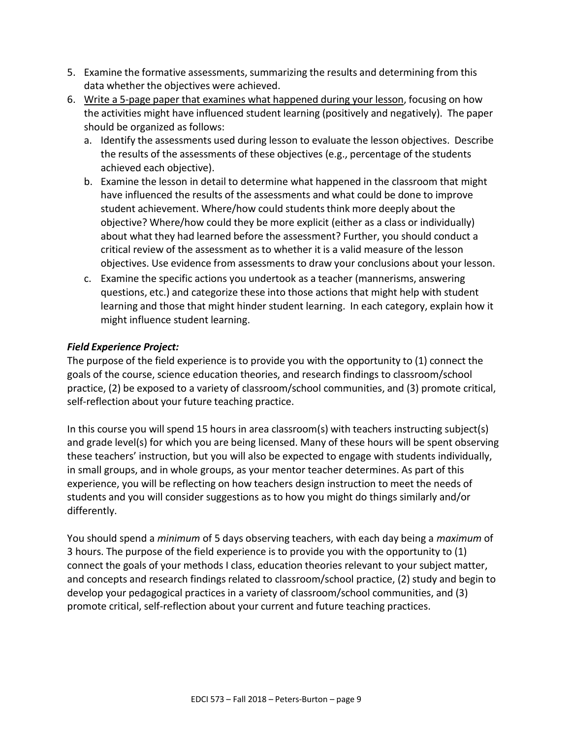- 5. Examine the formative assessments, summarizing the results and determining from this data whether the objectives were achieved.
- 6. Write a 5-page paper that examines what happened during your lesson, focusing on how the activities might have influenced student learning (positively and negatively). The paper should be organized as follows:
	- a. Identify the assessments used during lesson to evaluate the lesson objectives. Describe the results of the assessments of these objectives (e.g., percentage of the students achieved each objective).
	- b. Examine the lesson in detail to determine what happened in the classroom that might have influenced the results of the assessments and what could be done to improve student achievement. Where/how could studentsthink more deeply about the objective? Where/how could they be more explicit (either as a class or individually) about what they had learned before the assessment? Further, you should conduct a critical review of the assessment as to whether it is a valid measure of the lesson objectives. Use evidence from assessments to draw your conclusions about your lesson.
	- c. Examine the specific actions you undertook as a teacher (mannerisms, answering questions, etc.) and categorize these into those actions that might help with student learning and those that might hinder student learning. In each category, explain how it might influence student learning.

# *Field Experience Project:*

The purpose of the field experience is to provide you with the opportunity to (1) connect the goals of the course, science education theories, and research findings to classroom/school practice, (2) be exposed to a variety of classroom/school communities, and (3) promote critical, self-reflection about your future teaching practice.

In this course you will spend 15 hours in area classroom(s) with teachers instructing subject(s) and grade level(s) for which you are being licensed. Many of these hours will be spent observing these teachers' instruction, but you will also be expected to engage with students individually, in small groups, and in whole groups, as your mentor teacher determines. As part of this experience, you will be reflecting on how teachers design instruction to meet the needs of students and you will consider suggestions as to how you might do things similarly and/or differently.

You should spend a *minimum* of 5 days observing teachers, with each day being a *maximum* of 3 hours. The purpose of the field experience is to provide you with the opportunity to (1) connect the goals of your methods I class, education theories relevant to your subject matter, and concepts and research findings related to classroom/school practice, (2) study and begin to develop your pedagogical practices in a variety of classroom/school communities, and (3) promote critical, self-reflection about your current and future teaching practices.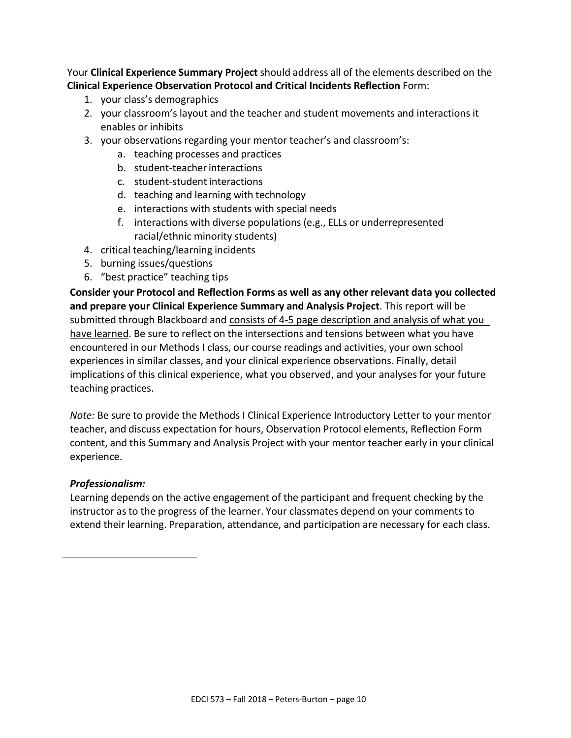Your **Clinical Experience Summary Project** should address all of the elements described on the **Clinical Experience Observation Protocol and Critical Incidents Reflection** Form:

- 1. your class's demographics
- 2. your classroom's layout and the teacher and student movements and interactions it enables or inhibits
- 3. your observations regarding your mentor teacher's and classroom's:
	- a. teaching processes and practices
	- b. student-teacher interactions
	- c. student-student interactions
	- d. teaching and learning with technology
	- e. interactions with students with special needs
	- f. interactions with diverse populations (e.g., ELLs or underrepresented racial/ethnic minority students)
- 4. critical teaching/learning incidents
- 5. burning issues/questions
- 6. "best practice" teaching tips

**Consider your Protocol and Reflection Forms as well as any other relevant data you collected and prepare your Clinical Experience Summary and Analysis Project**. This report will be submitted through Blackboard and consists of 4-5 page description and analysis of what you have learned. Be sure to reflect on the intersections and tensions between what you have encountered in our Methods I class, our course readings and activities, your own school experiences in similar classes, and your clinical experience observations. Finally, detail implications of this clinical experience, what you observed, and your analyses for your future teaching practices.

*Note:* Be sure to provide the Methods I Clinical Experience Introductory Letter to your mentor teacher, and discuss expectation for hours, Observation Protocol elements, Reflection Form content, and this Summary and Analysis Project with your mentor teacher early in your clinical experience.

### *Professionalism:*

Learning depends on the active engagement of the participant and frequent checking by the instructor as to the progress of the learner. Your classmates depend on your comments to extend their learning. Preparation, attendance, and participation are necessary for each class.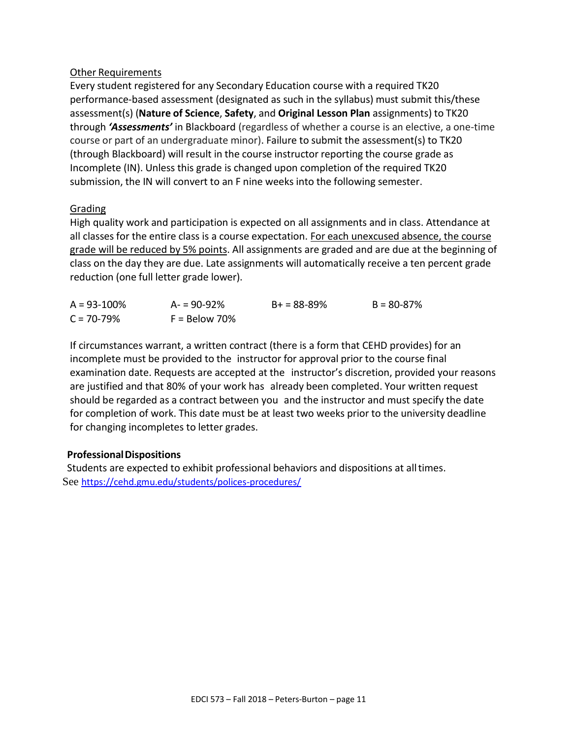### Other Requirements

Every student registered for any Secondary Education course with a required TK20 performance-based assessment (designated as such in the syllabus) must submit this/these assessment(s) (**Nature of Science**, **Safety**, and **Original Lesson Plan** assignments) to TK20 through *'Assessments'* in Blackboard (regardless of whether a course is an elective, a one-time course or part of an undergraduate minor). Failure to submit the assessment(s) to TK20 (through Blackboard) will result in the course instructor reporting the course grade as Incomplete (IN). Unless this grade is changed upon completion of the required TK20 submission, the IN will convert to an F nine weeks into the following semester.

### Grading

High quality work and participation is expected on all assignments and in class. Attendance at all classes for the entire class is a course expectation. For each unexcused absence, the course grade will be reduced by 5% points. All assignments are graded and are due at the beginning of class on the day they are due. Late assignments will automatically receive a ten percent grade reduction (one full letter grade lower).

| $A = 93 - 100\%$ | $A = 90 - 92%$  | $B+ = 88-89%$ | $B = 80 - 87\%$ |
|------------------|-----------------|---------------|-----------------|
| $C = 70 - 79%$   | $F =$ Below 70% |               |                 |

If circumstances warrant, a written contract (there is a form that CEHD provides) for an incomplete must be provided to the instructor for approval prior to the course final examination date. Requests are accepted at the instructor's discretion, provided your reasons are justified and that 80% of your work has already been completed. Your written request should be regarded as a contract between you and the instructor and must specify the date for completion of work. This date must be at least two weeks prior to the university deadline for changing incompletes to letter grades.

### **ProfessionalDispositions**

Students are expected to exhibit professional behaviors and dispositions at alltimes. See <https://cehd.gmu.edu/students/polices-procedures/>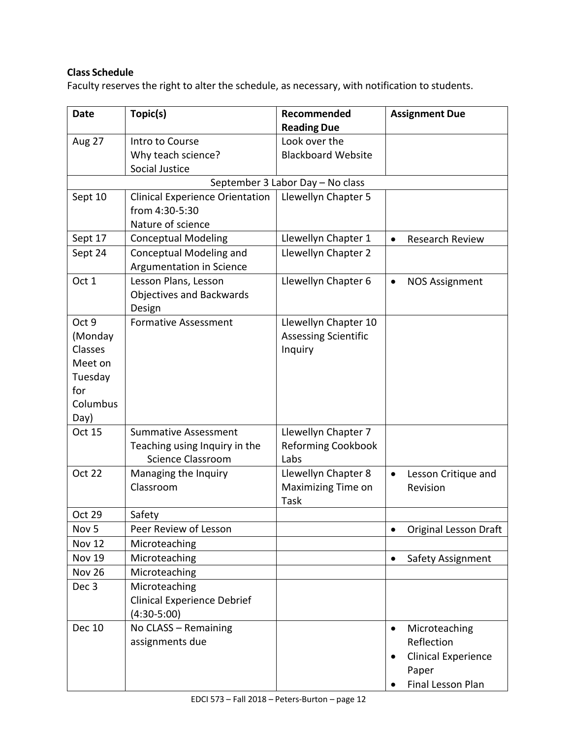# **Class Schedule**

Faculty reserves the right to alter the schedule, as necessary, with notification to students.

| <b>Date</b>      | Topic(s)                                                   | Recommended                                      | <b>Assignment Due</b>                     |
|------------------|------------------------------------------------------------|--------------------------------------------------|-------------------------------------------|
|                  |                                                            | <b>Reading Due</b>                               |                                           |
| Aug 27           | Intro to Course<br>Why teach science?                      | Look over the<br><b>Blackboard Website</b>       |                                           |
|                  | Social Justice                                             |                                                  |                                           |
|                  |                                                            | September 3 Labor Day - No class                 |                                           |
| Sept 10          | <b>Clinical Experience Orientation</b>                     | Llewellyn Chapter 5                              |                                           |
|                  | from 4:30-5:30                                             |                                                  |                                           |
|                  | Nature of science                                          |                                                  |                                           |
| Sept 17          | <b>Conceptual Modeling</b>                                 | Llewellyn Chapter 1                              | Research Review<br>$\bullet$              |
| Sept 24          | Conceptual Modeling and<br>Argumentation in Science        | Llewellyn Chapter 2                              |                                           |
| Oct 1            | Lesson Plans, Lesson<br>Objectives and Backwards<br>Design | Llewellyn Chapter 6                              | <b>NOS Assignment</b>                     |
| Oct 9            | <b>Formative Assessment</b>                                | Llewellyn Chapter 10                             |                                           |
| (Monday          |                                                            | <b>Assessing Scientific</b>                      |                                           |
| Classes          |                                                            | Inquiry                                          |                                           |
| Meet on          |                                                            |                                                  |                                           |
| Tuesday          |                                                            |                                                  |                                           |
| for              |                                                            |                                                  |                                           |
| Columbus         |                                                            |                                                  |                                           |
| Day)             |                                                            |                                                  |                                           |
| <b>Oct 15</b>    | <b>Summative Assessment</b>                                | Llewellyn Chapter 7                              |                                           |
|                  | Teaching using Inquiry in the                              | <b>Reforming Cookbook</b>                        |                                           |
| <b>Oct 22</b>    | <b>Science Classroom</b>                                   | Labs                                             |                                           |
|                  | Managing the Inquiry<br>Classroom                          | Llewellyn Chapter 8<br><b>Maximizing Time on</b> | Lesson Critique and<br>$\bullet$          |
|                  |                                                            | Task                                             | Revision                                  |
| <b>Oct 29</b>    | Safety                                                     |                                                  |                                           |
| Nov <sub>5</sub> | Peer Review of Lesson                                      |                                                  | <b>Original Lesson Draft</b><br>$\bullet$ |
| <b>Nov 12</b>    | Microteaching                                              |                                                  |                                           |
| <b>Nov 19</b>    | Microteaching                                              |                                                  | Safety Assignment<br>$\bullet$            |
| <b>Nov 26</b>    | Microteaching                                              |                                                  |                                           |
| Dec <sub>3</sub> | Microteaching                                              |                                                  |                                           |
|                  | <b>Clinical Experience Debrief</b>                         |                                                  |                                           |
|                  | $(4:30-5:00)$                                              |                                                  |                                           |
| <b>Dec 10</b>    | No CLASS - Remaining                                       |                                                  | Microteaching<br>$\bullet$                |
|                  | assignments due                                            |                                                  | Reflection                                |
|                  |                                                            |                                                  | <b>Clinical Experience</b>                |
|                  |                                                            |                                                  | Paper                                     |
|                  |                                                            |                                                  | Final Lesson Plan                         |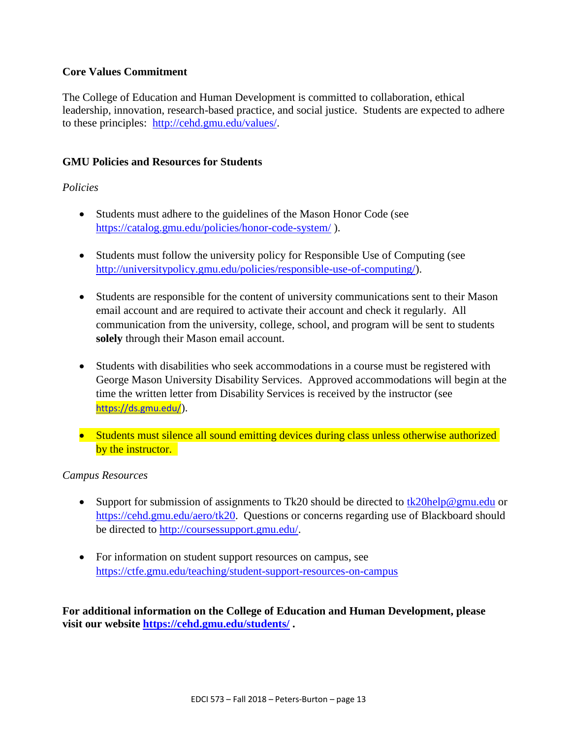### **Core Values Commitment**

The College of Education and Human Development is committed to collaboration, ethical leadership, innovation, research-based practice, and social justice. Students are expected to adhere to these principles: [http://cehd.gmu.edu/values/.](http://cehd.gmu.edu/values/)

### **GMU Policies and Resources for Students**

### *Policies*

- Students must adhere to the guidelines of the Mason Honor Code (see <https://catalog.gmu.edu/policies/honor-code-system/> ).
- Students must follow the university policy for Responsible Use of Computing (see [http://universitypolicy.gmu.edu/policies/responsible-use-of-computing/\)](http://universitypolicy.gmu.edu/policies/responsible-use-of-computing/).
- Students are responsible for the content of university communications sent to their Mason email account and are required to activate their account and check it regularly. All communication from the university, college, school, and program will be sent to students **solely** through their Mason email account.
- Students with disabilities who seek accommodations in a course must be registered with George Mason University Disability Services. Approved accommodations will begin at the time the written letter from Disability Services is received by the instructor (see <https://ds.gmu.edu/>).
- Students must silence all sound emitting devices during class unless otherwise authorized by the instructor.

### *Campus Resources*

- Support for submission of assignments to Tk20 should be directed to  $tk20$ help@gmu.edu or [https://cehd.gmu.edu/aero/tk20.](https://cehd.gmu.edu/aero/tk20) Questions or concerns regarding use of Blackboard should be directed to [http://coursessupport.gmu.edu/.](http://coursessupport.gmu.edu/)
- For information on student support resources on campus, see <https://ctfe.gmu.edu/teaching/student-support-resources-on-campus>

**For additional information on the College of Education and Human Development, please visit our website<https://cehd.gmu.edu/students/> .**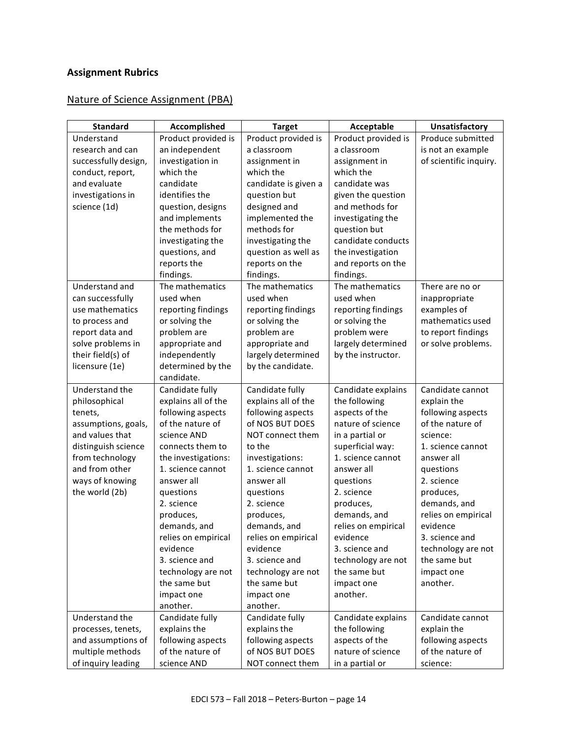# **Assignment Rubrics**

# Nature of Science Assignment (PBA)

| <b>Standard</b>                          | Accomplished                       | <b>Target</b>                   | Acceptable                          | Unsatisfactory                     |
|------------------------------------------|------------------------------------|---------------------------------|-------------------------------------|------------------------------------|
| Understand                               | Product provided is                | Product provided is             | Product provided is                 | Produce submitted                  |
| research and can                         | an independent                     | a classroom                     | a classroom                         | is not an example                  |
| successfully design,                     | investigation in                   | assignment in                   | assignment in                       | of scientific inquiry.             |
| conduct, report,                         | which the                          | which the                       | which the                           |                                    |
| and evaluate                             | candidate                          | candidate is given a            | candidate was                       |                                    |
| investigations in                        | identifies the                     | question but                    | given the question                  |                                    |
| science (1d)                             | question, designs                  | designed and                    | and methods for                     |                                    |
|                                          | and implements                     | implemented the                 | investigating the                   |                                    |
|                                          | the methods for                    | methods for                     | question but                        |                                    |
|                                          | investigating the                  | investigating the               | candidate conducts                  |                                    |
|                                          | questions, and                     | question as well as             | the investigation                   |                                    |
|                                          | reports the                        | reports on the                  | and reports on the                  |                                    |
|                                          | findings.                          | findings.                       | findings.                           |                                    |
| Understand and                           | The mathematics                    | The mathematics                 | The mathematics                     | There are no or                    |
| can successfully                         | used when                          | used when                       | used when                           | inappropriate                      |
| use mathematics                          | reporting findings                 | reporting findings              | reporting findings                  | examples of                        |
| to process and                           | or solving the                     | or solving the                  | or solving the                      | mathematics used                   |
| report data and                          | problem are                        | problem are                     | problem were                        | to report findings                 |
| solve problems in                        | appropriate and                    | appropriate and                 | largely determined                  | or solve problems.                 |
| their field(s) of                        | independently                      | largely determined              | by the instructor.                  |                                    |
| licensure (1e)                           | determined by the                  | by the candidate.               |                                     |                                    |
|                                          | candidate.                         |                                 |                                     |                                    |
| Understand the                           | Candidate fully                    | Candidate fully                 | Candidate explains                  | Candidate cannot                   |
| philosophical                            | explains all of the                | explains all of the             | the following                       | explain the                        |
| tenets,                                  | following aspects                  | following aspects               | aspects of the                      | following aspects                  |
| assumptions, goals,                      | of the nature of                   | of NOS BUT DOES                 | nature of science                   | of the nature of                   |
| and values that                          | science AND                        | NOT connect them                | in a partial or                     | science:                           |
| distinguish science                      | connects them to                   | to the                          | superficial way:                    | 1. science cannot                  |
| from technology                          | the investigations:                | investigations:                 | 1. science cannot                   | answer all                         |
| and from other                           | 1. science cannot                  | 1. science cannot               | answer all                          | questions                          |
| ways of knowing                          | answer all                         | answer all                      | questions                           | 2. science                         |
| the world (2b)                           | questions                          | questions                       | 2. science                          | produces,                          |
|                                          | 2. science                         | 2. science                      | produces,                           | demands, and                       |
|                                          | produces,                          | produces,                       | demands, and                        | relies on empirical                |
|                                          | demands, and                       | demands, and                    | relies on empirical                 | evidence                           |
|                                          | relies on empirical                | relies on empirical             | evidence                            | 3. science and                     |
|                                          | evidence<br>3. science and         | evidence<br>3. science and      | 3. science and                      | technology are not<br>the same but |
|                                          |                                    | technology are not              | technology are not<br>the same but  |                                    |
|                                          | technology are not<br>the same but | the same but                    |                                     | impact one<br>another.             |
|                                          |                                    |                                 | impact one                          |                                    |
|                                          | impact one<br>another.             | impact one<br>another.          | another.                            |                                    |
| Understand the                           | Candidate fully                    |                                 |                                     | Candidate cannot                   |
|                                          | explains the                       | Candidate fully<br>explains the | Candidate explains<br>the following | explain the                        |
| processes, tenets,<br>and assumptions of | following aspects                  | following aspects               | aspects of the                      | following aspects                  |
| multiple methods                         | of the nature of                   | of NOS BUT DOES                 | nature of science                   | of the nature of                   |
| of inquiry leading                       | science AND                        | NOT connect them                | in a partial or                     | science:                           |
|                                          |                                    |                                 |                                     |                                    |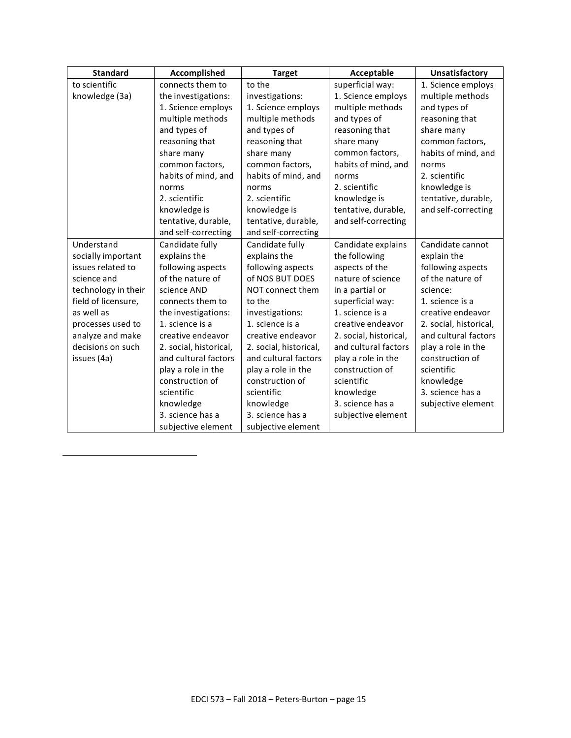| <b>Standard</b>     | Accomplished           | <b>Target</b>          | Acceptable             | <b>Unsatisfactory</b>  |
|---------------------|------------------------|------------------------|------------------------|------------------------|
| to scientific       | connects them to       | to the                 | superficial way:       | 1. Science employs     |
| knowledge (3a)      | the investigations:    | investigations:        | 1. Science employs     | multiple methods       |
|                     | 1. Science employs     | 1. Science employs     | multiple methods       | and types of           |
|                     | multiple methods       | multiple methods       | and types of           | reasoning that         |
|                     | and types of           | and types of           | reasoning that         | share many             |
|                     | reasoning that         | reasoning that         | share many             | common factors,        |
|                     | share many             | share many             | common factors,        | habits of mind, and    |
|                     | common factors,        | common factors,        | habits of mind, and    | norms                  |
|                     | habits of mind, and    | habits of mind, and    | norms                  | 2. scientific          |
|                     | norms                  | norms                  | 2. scientific          | knowledge is           |
|                     | 2. scientific          | 2. scientific          | knowledge is           | tentative, durable,    |
|                     | knowledge is           | knowledge is           | tentative, durable,    | and self-correcting    |
|                     | tentative, durable,    | tentative, durable,    | and self-correcting    |                        |
|                     | and self-correcting    | and self-correcting    |                        |                        |
| Understand          | Candidate fully        | Candidate fully        | Candidate explains     | Candidate cannot       |
| socially important  | explains the           | explains the           | the following          | explain the            |
| issues related to   | following aspects      | following aspects      | aspects of the         | following aspects      |
| science and         | of the nature of       | of NOS BUT DOES        | nature of science      | of the nature of       |
| technology in their | science AND            | NOT connect them       | in a partial or        | science:               |
| field of licensure, | connects them to       | to the                 | superficial way:       | 1. science is a        |
| as well as          | the investigations:    | investigations:        | 1. science is a        | creative endeavor      |
| processes used to   | 1. science is a        | 1. science is a        | creative endeavor      | 2. social, historical, |
| analyze and make    | creative endeavor      | creative endeavor      | 2. social, historical, | and cultural factors   |
| decisions on such   | 2. social, historical, | 2. social, historical, | and cultural factors   | play a role in the     |
| issues (4a)         | and cultural factors   | and cultural factors   | play a role in the     | construction of        |
|                     | play a role in the     | play a role in the     | construction of        | scientific             |
|                     | construction of        | construction of        | scientific             | knowledge              |
|                     | scientific             | scientific             | knowledge              | 3. science has a       |
|                     | knowledge              | knowledge              | 3. science has a       | subjective element     |
|                     | 3. science has a       | 3. science has a       | subjective element     |                        |
|                     | subjective element     | subjective element     |                        |                        |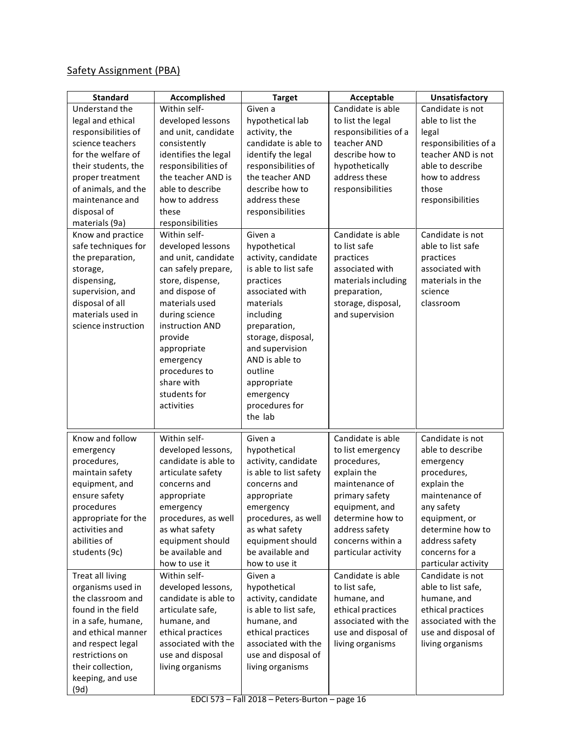# Safety Assignment (PBA)

| <b>Standard</b>     | Accomplished         | <b>Target</b>          | Acceptable            | Unsatisfactory        |
|---------------------|----------------------|------------------------|-----------------------|-----------------------|
| Understand the      | Within self-         | Given a                | Candidate is able     | Candidate is not      |
| legal and ethical   | developed lessons    | hypothetical lab       | to list the legal     | able to list the      |
| responsibilities of | and unit, candidate  | activity, the          | responsibilities of a | legal                 |
| science teachers    | consistently         | candidate is able to   | teacher AND           | responsibilities of a |
| for the welfare of  | identifies the legal | identify the legal     | describe how to       | teacher AND is not    |
| their students, the | responsibilities of  | responsibilities of    | hypothetically        | able to describe      |
| proper treatment    | the teacher AND is   | the teacher AND        | address these         | how to address        |
| of animals, and the | able to describe     | describe how to        | responsibilities      | those                 |
| maintenance and     | how to address       | address these          |                       | responsibilities      |
| disposal of         | these                | responsibilities       |                       |                       |
| materials (9a)      | responsibilities     |                        |                       |                       |
| Know and practice   | Within self-         | Given a                | Candidate is able     | Candidate is not      |
| safe techniques for | developed lessons    | hypothetical           | to list safe          | able to list safe     |
| the preparation,    | and unit, candidate  | activity, candidate    | practices             | practices             |
| storage,            | can safely prepare,  | is able to list safe   | associated with       | associated with       |
| dispensing,         | store, dispense,     | practices              | materials including   | materials in the      |
| supervision, and    | and dispose of       | associated with        | preparation,          | science               |
| disposal of all     | materials used       | materials              | storage, disposal,    | classroom             |
| materials used in   | during science       | including              | and supervision       |                       |
| science instruction | instruction AND      | preparation,           |                       |                       |
|                     | provide              | storage, disposal,     |                       |                       |
|                     | appropriate          | and supervision        |                       |                       |
|                     | emergency            | AND is able to         |                       |                       |
|                     | procedures to        | outline                |                       |                       |
|                     | share with           | appropriate            |                       |                       |
|                     | students for         | emergency              |                       |                       |
|                     | activities           | procedures for         |                       |                       |
|                     |                      | the lab                |                       |                       |
| Know and follow     | Within self-         | Given a                | Candidate is able     | Candidate is not      |
| emergency           | developed lessons,   | hypothetical           | to list emergency     | able to describe      |
| procedures,         | candidate is able to | activity, candidate    | procedures,           | emergency             |
| maintain safety     | articulate safety    | is able to list safety | explain the           | procedures,           |
| equipment, and      | concerns and         | concerns and           | maintenance of        | explain the           |
| ensure safety       | appropriate          | appropriate            | primary safety        | maintenance of        |
| procedures          | emergency            | emergency              | equipment, and        | any safety            |
| appropriate for the | procedures, as well  | procedures, as well    | determine how to      | equipment, or         |
| activities and      | as what safety       | as what safety         | address safety        | determine how to      |
| abilities of        | equipment should     | equipment should       | concerns within a     | address safety        |
| students (9c)       | be available and     | be available and       | particular activity   | concerns for a        |
|                     | how to use it        | how to use it          |                       | particular activity   |
| Treat all living    | Within self-         | Given a                | Candidate is able     | Candidate is not      |
| organisms used in   | developed lessons,   | hypothetical           | to list safe,         | able to list safe,    |
| the classroom and   | candidate is able to | activity, candidate    | humane, and           | humane, and           |
| found in the field  | articulate safe,     | is able to list safe,  | ethical practices     | ethical practices     |
| in a safe, humane,  | humane, and          | humane, and            | associated with the   | associated with the   |
| and ethical manner  | ethical practices    | ethical practices      | use and disposal of   | use and disposal of   |
| and respect legal   | associated with the  | associated with the    | living organisms      | living organisms      |
| restrictions on     | use and disposal     | use and disposal of    |                       |                       |
| their collection,   | living organisms     | living organisms       |                       |                       |
| keeping, and use    |                      |                        |                       |                       |
| (9d)                |                      |                        |                       |                       |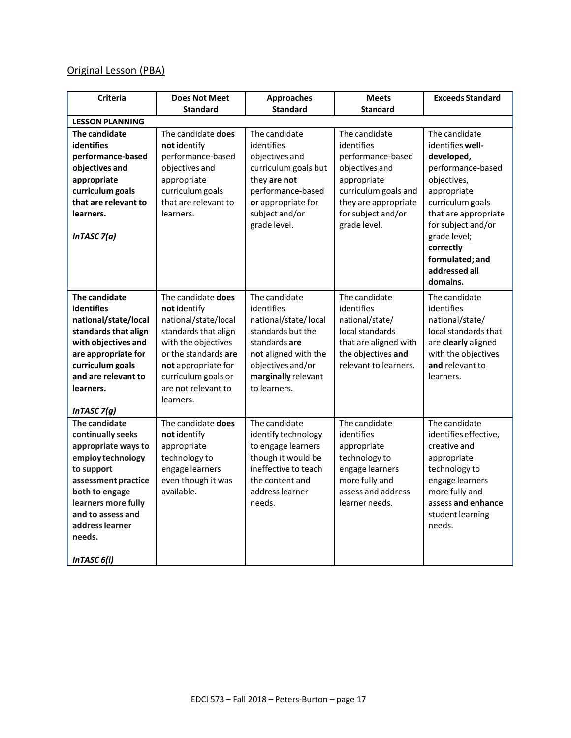# Original Lesson (PBA)

| <b>Criteria</b>                                                                                                                                                                                                               | <b>Does Not Meet</b>                                                                                                                                                                                                | <b>Approaches</b>                                                                                                                                                             | <b>Meets</b>                                                                                                                                                            | <b>Exceeds Standard</b>                                                                                                                                                                                                                           |
|-------------------------------------------------------------------------------------------------------------------------------------------------------------------------------------------------------------------------------|---------------------------------------------------------------------------------------------------------------------------------------------------------------------------------------------------------------------|-------------------------------------------------------------------------------------------------------------------------------------------------------------------------------|-------------------------------------------------------------------------------------------------------------------------------------------------------------------------|---------------------------------------------------------------------------------------------------------------------------------------------------------------------------------------------------------------------------------------------------|
|                                                                                                                                                                                                                               | <b>Standard</b>                                                                                                                                                                                                     | <b>Standard</b>                                                                                                                                                               | <b>Standard</b>                                                                                                                                                         |                                                                                                                                                                                                                                                   |
| <b>LESSON PLANNING</b>                                                                                                                                                                                                        |                                                                                                                                                                                                                     |                                                                                                                                                                               |                                                                                                                                                                         |                                                                                                                                                                                                                                                   |
| The candidate<br><b>identifies</b><br>performance-based<br>objectives and<br>appropriate<br>curriculum goals<br>that are relevant to<br>learners.<br>In TASC $7(a)$                                                           | The candidate does<br>not identify<br>performance-based<br>objectives and<br>appropriate<br>curriculum goals<br>that are relevant to<br>learners.                                                                   | The candidate<br>identifies<br>objectives and<br>curriculum goals but<br>they are not<br>performance-based<br>or appropriate for<br>subject and/or<br>grade level.            | The candidate<br>identifies<br>performance-based<br>objectives and<br>appropriate<br>curriculum goals and<br>they are appropriate<br>for subject and/or<br>grade level. | The candidate<br>identifies well-<br>developed,<br>performance-based<br>objectives,<br>appropriate<br>curriculum goals<br>that are appropriate<br>for subject and/or<br>grade level;<br>correctly<br>formulated; and<br>addressed all<br>domains. |
| The candidate<br><b>identifies</b><br>national/state/local<br>standards that align<br>with objectives and<br>are appropriate for<br>curriculum goals<br>and are relevant to<br>learners.<br>InTASC $7(g)$                     | The candidate does<br>not identify<br>national/state/local<br>standards that align<br>with the objectives<br>or the standards are<br>not appropriate for<br>curriculum goals or<br>are not relevant to<br>learners. | The candidate<br>identifies<br>national/state/local<br>standards but the<br>standards are<br>not aligned with the<br>objectives and/or<br>marginally relevant<br>to learners. | The candidate<br>identifies<br>national/state/<br>local standards<br>that are aligned with<br>the objectives and<br>relevant to learners.                               | The candidate<br>identifies<br>national/state/<br>local standards that<br>are clearly aligned<br>with the objectives<br>and relevant to<br>learners.                                                                                              |
| The candidate<br>continually seeks<br>appropriate ways to<br>employ technology<br>to support<br>assessment practice<br>both to engage<br>learners more fully<br>and to assess and<br>address learner<br>needs.<br>InTASC 6(i) | The candidate does<br>not identify<br>appropriate<br>technology to<br>engage learners<br>even though it was<br>available.                                                                                           | The candidate<br>identify technology<br>to engage learners<br>though it would be<br>ineffective to teach<br>the content and<br>address learner<br>needs.                      | The candidate<br>identifies<br>appropriate<br>technology to<br>engage learners<br>more fully and<br>assess and address<br>learner needs.                                | The candidate<br>identifies effective,<br>creative and<br>appropriate<br>technology to<br>engage learners<br>more fully and<br>assess and enhance<br>student learning<br>needs.                                                                   |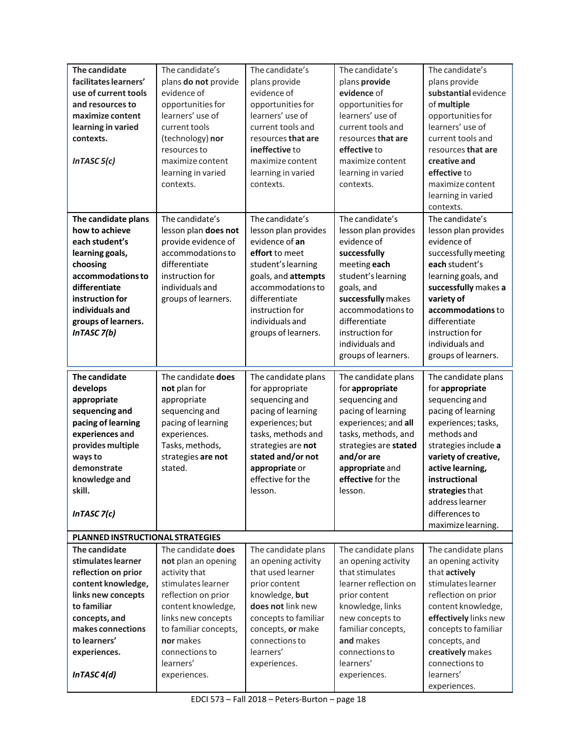| The candidate<br>facilitates learners'<br>use of current tools<br>and resources to<br>maximize content<br>learning in varied<br>contexts.<br>In TASC $5(c)$                                               | The candidate's<br>plans do not provide<br>evidence of<br>opportunities for<br>learners' use of<br>current tools<br>(technology) nor<br>resources to<br>maximize content<br>learning in varied<br>contexts.                              | The candidate's<br>plans provide<br>evidence of<br>opportunities for<br>learners' use of<br>current tools and<br>resources that are<br>ineffective to<br>maximize content<br>learning in varied<br>contexts.                | The candidate's<br>plans provide<br>evidence of<br>opportunities for<br>learners' use of<br>current tools and<br>resources that are<br>effective to<br>maximize content<br>learning in varied<br>contexts.                                          | The candidate's<br>plans provide<br>substantial evidence<br>of multiple<br>opportunities for<br>learners' use of<br>current tools and<br>resources that are<br>creative and<br>effective to<br>maximize content<br>learning in varied<br>contexts.                                      |  |
|-----------------------------------------------------------------------------------------------------------------------------------------------------------------------------------------------------------|------------------------------------------------------------------------------------------------------------------------------------------------------------------------------------------------------------------------------------------|-----------------------------------------------------------------------------------------------------------------------------------------------------------------------------------------------------------------------------|-----------------------------------------------------------------------------------------------------------------------------------------------------------------------------------------------------------------------------------------------------|-----------------------------------------------------------------------------------------------------------------------------------------------------------------------------------------------------------------------------------------------------------------------------------------|--|
| The candidate plans<br>how to achieve<br>each student's<br>learning goals,<br>choosing<br>accommodations to<br>differentiate<br>instruction for<br>individuals and<br>groups of learners.<br>InTASC 7(b)  | The candidate's<br>lesson plan does not<br>provide evidence of<br>accommodations to<br>differentiate<br>instruction for<br>individuals and<br>groups of learners.                                                                        | The candidate's<br>lesson plan provides<br>evidence of an<br>effort to meet<br>student's learning<br>goals, and attempts<br>accommodations to<br>differentiate<br>instruction for<br>individuals and<br>groups of learners. | The candidate's<br>lesson plan provides<br>evidence of<br>successfully<br>meeting each<br>student's learning<br>goals, and<br>successfully makes<br>accommodations to<br>differentiate<br>instruction for<br>individuals and<br>groups of learners. | The candidate's<br>lesson plan provides<br>evidence of<br>successfully meeting<br>each student's<br>learning goals, and<br>successfully makes a<br>variety of<br>accommodations to<br>differentiate<br>instruction for<br>individuals and<br>groups of learners.                        |  |
| The candidate<br>develops<br>appropriate<br>sequencing and<br>pacing of learning<br>experiences and<br>provides multiple<br>ways to<br>demonstrate<br>knowledge and<br>skill.<br>In TASC $7(c)$           | The candidate does<br>not plan for<br>appropriate<br>sequencing and<br>pacing of learning<br>experiences.<br>Tasks, methods,<br>strategies are not<br>stated.                                                                            | The candidate plans<br>for appropriate<br>sequencing and<br>pacing of learning<br>experiences; but<br>tasks, methods and<br>strategies are not<br>stated and/or not<br>appropriate or<br>effective for the<br>lesson.       | The candidate plans<br>for appropriate<br>sequencing and<br>pacing of learning<br>experiences; and all<br>tasks, methods, and<br>strategies are stated<br>and/or are<br>appropriate and<br>effective for the<br>lesson.                             | The candidate plans<br>for appropriate<br>sequencing and<br>pacing of learning<br>experiences; tasks,<br>methods and<br>strategies include a<br>variety of creative,<br>active learning,<br>instructional<br>strategies that<br>address learner<br>differences to<br>maximize learning. |  |
| PLANNED INSTRUCTIONAL STRATEGIES                                                                                                                                                                          |                                                                                                                                                                                                                                          |                                                                                                                                                                                                                             |                                                                                                                                                                                                                                                     |                                                                                                                                                                                                                                                                                         |  |
| The candidate<br>stimulates learner<br>reflection on prior<br>content knowledge,<br>links new concepts<br>to familiar<br>concepts, and<br>makes connections<br>to learners'<br>experiences.<br>InTASC4(d) | The candidate does<br>not plan an opening<br>activity that<br>stimulates learner<br>reflection on prior<br>content knowledge,<br>links new concepts<br>to familiar concepts,<br>nor makes<br>connections to<br>learners'<br>experiences. | The candidate plans<br>an opening activity<br>that used learner<br>prior content<br>knowledge, but<br>does not link new<br>concepts to familiar<br>concepts, or make<br>connections to<br>learners'<br>experiences.         | The candidate plans<br>an opening activity<br>that stimulates<br>learner reflection on<br>prior content<br>knowledge, links<br>new concepts to<br>familiar concepts,<br>and makes<br>connections to<br>learners'<br>experiences.                    | The candidate plans<br>an opening activity<br>that actively<br>stimulates learner<br>reflection on prior<br>content knowledge,<br>effectively links new<br>concepts to familiar<br>concepts, and<br>creatively makes<br>connections to<br>learners'<br>experiences.                     |  |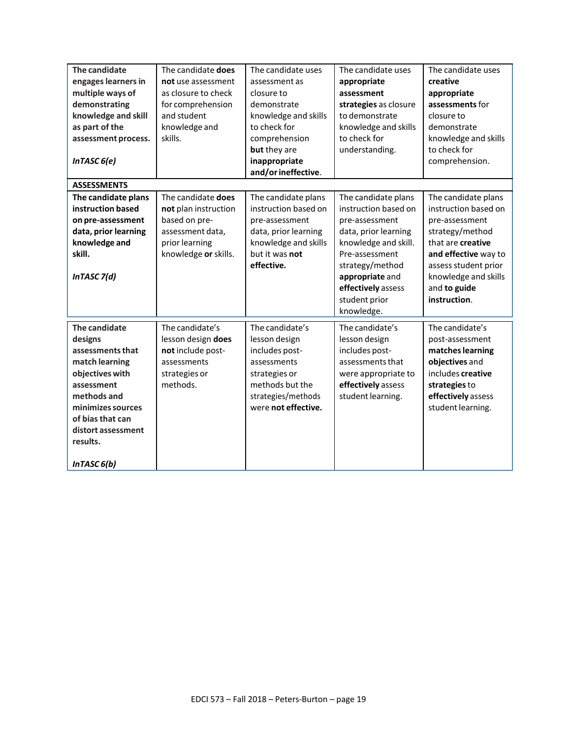| The candidate<br>engages learners in<br>multiple ways of<br>demonstrating<br>knowledge and skill<br>as part of the<br>assessment process.<br>InTASC 6(e)                                                 | The candidate does<br>not use assessment<br>as closure to check<br>for comprehension<br>and student<br>knowledge and<br>skills. | The candidate uses<br>assessment as<br>closure to<br>demonstrate<br>knowledge and skills<br>to check for<br>comprehension<br>but they are<br>inappropriate<br>and/or ineffective. | The candidate uses<br>appropriate<br>assessment<br>strategies as closure<br>to demonstrate<br>knowledge and skills<br>to check for<br>understanding. | The candidate uses<br>creative<br>appropriate<br>assessments for<br>closure to<br>demonstrate<br>knowledge and skills<br>to check for<br>comprehension.   |
|----------------------------------------------------------------------------------------------------------------------------------------------------------------------------------------------------------|---------------------------------------------------------------------------------------------------------------------------------|-----------------------------------------------------------------------------------------------------------------------------------------------------------------------------------|------------------------------------------------------------------------------------------------------------------------------------------------------|-----------------------------------------------------------------------------------------------------------------------------------------------------------|
| <b>ASSESSMENTS</b><br>The candidate plans                                                                                                                                                                | The candidate does                                                                                                              | The candidate plans                                                                                                                                                               | The candidate plans                                                                                                                                  | The candidate plans                                                                                                                                       |
| instruction based                                                                                                                                                                                        | not plan instruction                                                                                                            | instruction based on                                                                                                                                                              | instruction based on                                                                                                                                 | instruction based on                                                                                                                                      |
| on pre-assessment                                                                                                                                                                                        | based on pre-                                                                                                                   | pre-assessment                                                                                                                                                                    | pre-assessment                                                                                                                                       | pre-assessment                                                                                                                                            |
| data, prior learning                                                                                                                                                                                     | assessment data,                                                                                                                | data, prior learning                                                                                                                                                              | data, prior learning                                                                                                                                 | strategy/method                                                                                                                                           |
| knowledge and<br>skill.                                                                                                                                                                                  | prior learning<br>knowledge or skills.                                                                                          | knowledge and skills<br>but it was not                                                                                                                                            | knowledge and skill.<br>Pre-assessment                                                                                                               | that are creative<br>and effective way to                                                                                                                 |
| InTASC 7(d)                                                                                                                                                                                              |                                                                                                                                 | effective.                                                                                                                                                                        | strategy/method<br>appropriate and<br>effectively assess<br>student prior<br>knowledge.                                                              | assess student prior<br>knowledge and skills<br>and to guide<br>instruction.                                                                              |
| The candidate<br>designs<br>assessments that<br>match learning<br>objectives with<br>assessment<br>methods and<br>minimizes sources<br>of bias that can<br>distort assessment<br>results.<br>InTASC 6(b) | The candidate's<br>lesson design does<br>not include post-<br>assessments<br>strategies or<br>methods.                          | The candidate's<br>lesson design<br>includes post-<br>assessments<br>strategies or<br>methods but the<br>strategies/methods<br>were not effective.                                | The candidate's<br>lesson design<br>includes post-<br>assessments that<br>were appropriate to<br>effectively assess<br>student learning.             | The candidate's<br>post-assessment<br>matches learning<br>objectives and<br>includes creative<br>strategies to<br>effectively assess<br>student learning. |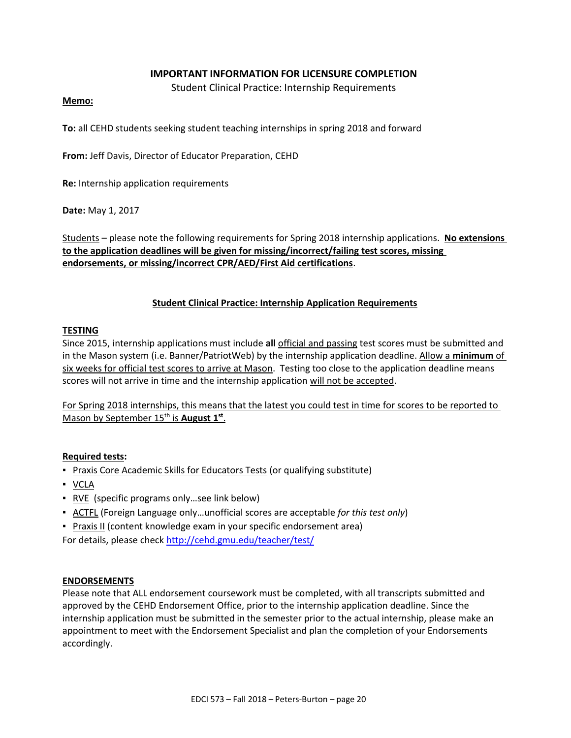#### **IMPORTANT INFORMATION FOR LICENSURE COMPLETION**

Student Clinical Practice: Internship Requirements

#### **Memo:**

**To:** all CEHD students seeking student teaching internships in spring 2018 and forward

**From:** Jeff Davis, Director of Educator Preparation, CEHD

**Re:** Internship application requirements

**Date:** May 1, 2017

Students – please note the following requirements for Spring 2018 internship applications. **No extensions to the application deadlines will be given for missing/incorrect/failing test scores, missing endorsements, or missing/incorrect CPR/AED/First Aid certifications**.

#### **Student Clinical Practice: Internship Application Requirements**

#### **TESTING**

Since 2015, internship applications must include **all** official and passing test scores must be submitted and in the Mason system (i.e. Banner/PatriotWeb) by the internship application deadline. Allow a **minimum** of six weeks for official test scores to arrive at Mason. Testing too close to the application deadline means scores will not arrive in time and the internship application will not be accepted.

For Spring 2018 internships, this means that the latest you could test in time for scores to be reported to Mason by September 15<sup>th</sup> is **August 1**<sup>st</sup>.

#### **Required tests:**

- **Praxis Core Academic Skills for Educators Tests (or qualifying substitute)**
- VCLA
- RVE (specific programs only ... see link below)
- ACTFL (Foreign Language only…unofficial scores are acceptable *for this test only*)
- **Praxis II (content knowledge exam in your specific endorsement area)**

For details, please check<http://cehd.gmu.edu/teacher/test/>

#### **ENDORSEMENTS**

Please note that ALL endorsement coursework must be completed, with all transcripts submitted and approved by the CEHD Endorsement Office, prior to the internship application deadline. Since the internship application must be submitted in the semester prior to the actual internship, please make an appointment to meet with the Endorsement Specialist and plan the completion of your Endorsements accordingly.